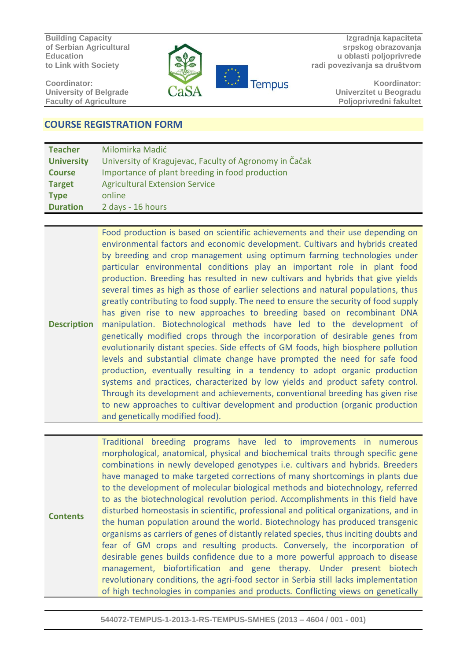**Building Capacity of Serbian Agricultural Education to Link with Society** 

**Coordinator: University of Belgrade Faculty of Agriculture** 



**Izgradnja kapaciteta srpskog obrazovanja u oblasti poljoprivrede radi povezivanja sa društvom**

> **Koordinator: Univerzitet u Beogradu Poljoprivredni fakultet**

## **COURSE REGISTRATION FORM**

| <b>Teacher</b>    | Milomirka Madić                                        |
|-------------------|--------------------------------------------------------|
| <b>University</b> | University of Kragujevac, Faculty of Agronomy in Čačak |
| <b>Course</b>     | Importance of plant breeding in food production        |
| <b>Target</b>     | <b>Agricultural Extension Service</b>                  |
| <b>Type</b>       | online                                                 |
| <b>Duration</b>   | 2 days - 16 hours                                      |

**Description** Food production is based on scientific achievements and their use depending on environmental factors and economic development. Cultivars and hybrids created by breeding and crop management using optimum farming technologies under particular environmental conditions play an important role in plant food production. Breeding has resulted in new cultivars and hybrids that give yields several times as high as those of earlier selections and natural populations, thus greatly contributing to food supply. The need to ensure the security of food supply has given rise to new approaches to breeding based on recombinant DNA manipulation. Biotechnological methods have led to the development of genetically modified crops through the incorporation of desirable genes from evolutionarily distant species. Side effects of GM foods, high biosphere pollution levels and substantial climate change have prompted the need for safe food production, eventually resulting in a tendency to adopt organic production systems and practices, characterized by low yields and product safety control. Through its development and achievements, conventional breeding has given rise to new approaches to cultivar development and production (organic production and genetically modified food).

**Contents** Traditional breeding programs have led to improvements in numerous morphological, anatomical, physical and biochemical traits through specific gene combinations in newly developed genotypes i.e. cultivars and hybrids. Breeders have managed to make targeted corrections of many shortcomings in plants due to the development of molecular biological methods and biotechnology, referred to as the biotechnological revolution period. Accomplishments in this field have disturbed homeostasis in scientific, professional and political organizations, and in the human population around the world. Biotechnology has produced transgenic organisms as carriers of genes of distantly related species, thus inciting doubts and fear of GM crops and resulting products. Conversely, the incorporation of desirable genes builds confidence due to a more powerful approach to disease management, biofortification and gene therapy. Under present biotech revolutionary conditions, the agri-food sector in Serbia still lacks implementation of high technologies in companies and products. Conflicting views on genetically